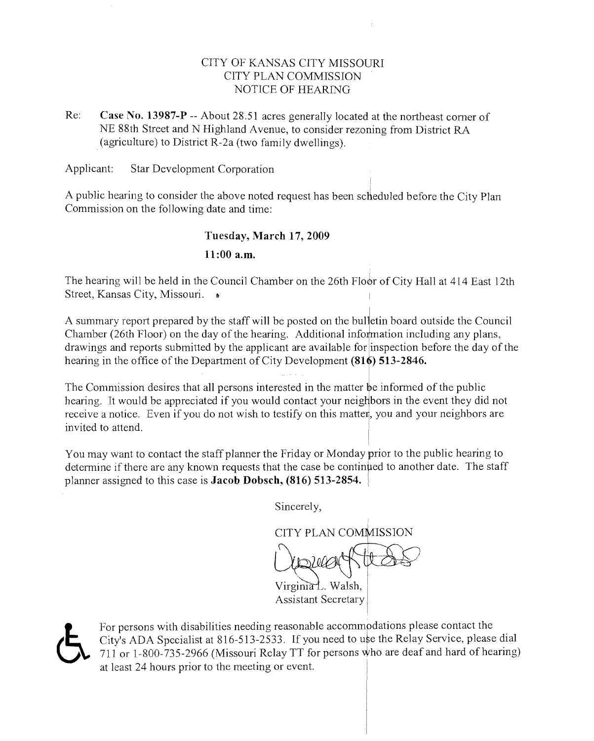## CITY OF KANSAS CITY MISSOURI CITY PLAN COMMISSION NOTICE OF HEARING

Re: Case No. 13987-P -- About 28.51 acres generally located at the northeast corner of NE 88th Street and N Highland Avenue, to consider rezoning from District RA .(agriculture) to District R-2a (two family dwellings).

Applicant: Star Development Corporation

A public hearing to consider the above noted request has been scheduled before the City Plan Commission on the following date and time:

## Tuesday, March 17,2009

11:00 a.m.

The hearing will be held in the Council Chamber on the 26th Floor of City Hall at 414 East 12th Street, Kansas City, Missouri. •

A summary report prepared by the staff will be posted on the bulletin board outside the Council Chamber (26th Floor) on the day of the hearing. Additional information including any plans, drawings and reports submitted by the applicant are available for inspection before the day of the hearing in the office of the Department of City Development  $(816)$  513-2846.

The Commission desires that all persons interested in the matter be informed of the public hearing. It would be appreciated if you would contact your neighbors in the event they did not receive a notice. Even if you do not wish to testify on this matter, you and your neighbors are invited to attend.

You may want to contact the staff planner the Friday or Monday prior to the public hearing to determine if there are any known requests that the case be continued to another date. The staff planner assigned to this case is Jacob Dobsch, (816) 513-2854.

Sincerely,

CITY PLAN COMMISSION Virginia L. Walsh, Assistant Secretary <sup>i</sup>

For persons with disabilities needing reasonable accommpdations please contact the City's ADA Specialist at 816-513-2533. If you need to use the Relay Service, please dial 711 or 1-800-735-2966 (Missouri Relay TT for persons Who are deaf and hard of hearing) at least 24 hours prior to the meeting or event.